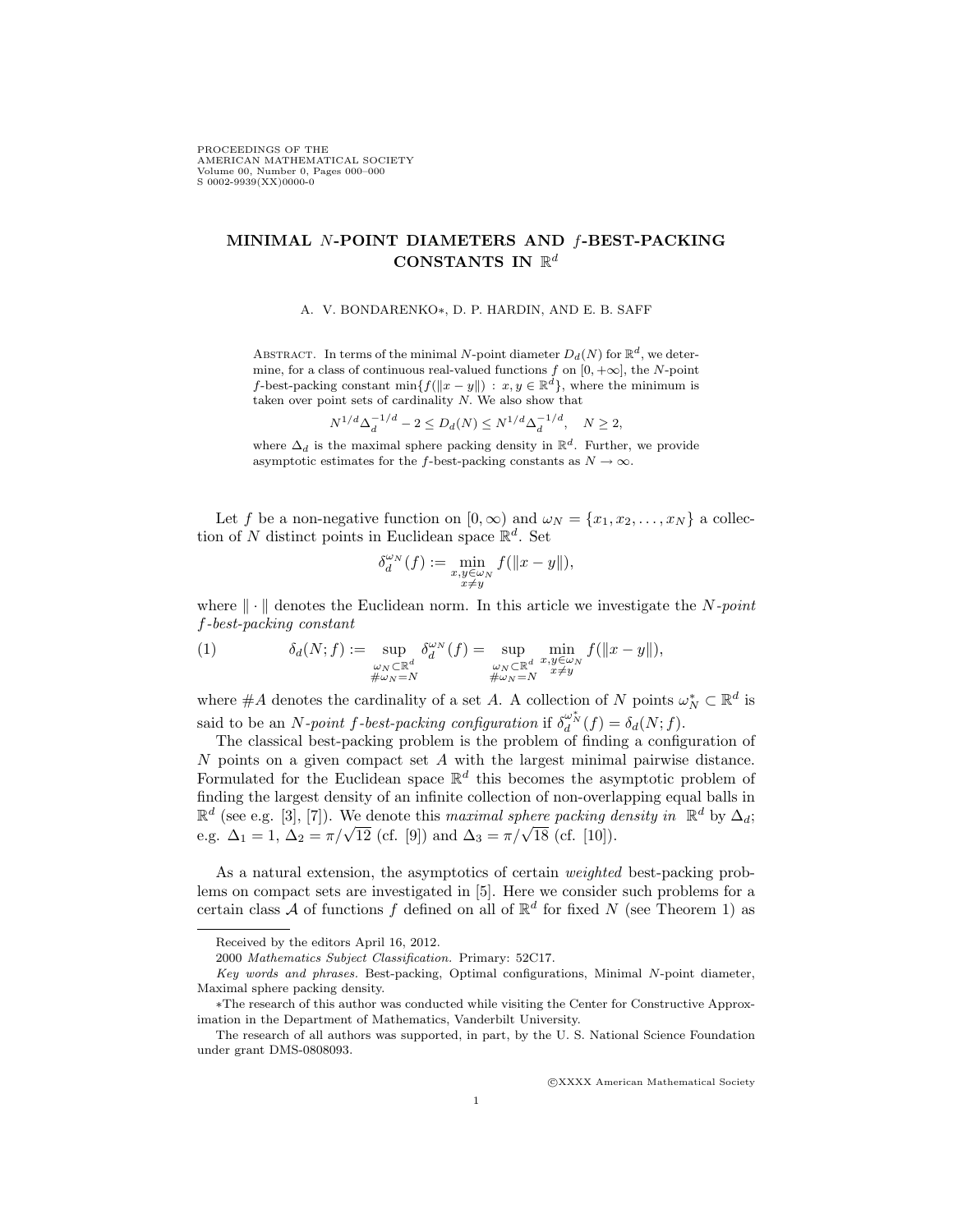PROCEEDINGS OF THE AMERICAN MATHEMATICAL SOCIETY Volume 00, Number 0, Pages 000–000 S 0002-9939(XX)0000-0

## MINIMAL N-POINT DIAMETERS AND f-BEST-PACKING CONSTANTS IN  $\mathbb{R}^d$

A. V. BONDARENKO∗, D. P. HARDIN, AND E. B. SAFF

ABSTRACT. In terms of the minimal N-point diameter  $D_d(N)$  for  $\mathbb{R}^d$ , we determine, for a class of continuous real-valued functions f on  $[0, +\infty]$ , the N-point f-best-packing constant min $\{f(||x-y||) : x, y \in \mathbb{R}^d\}$ , where the minimum is taken over point sets of cardinality  $N$ . We also show that

$$
N^{1/d} \Delta_d^{-1/d} - 2 \le D_d(N) \le N^{1/d} \Delta_d^{-1/d}, \quad N \ge 2,
$$

where  $\Delta_d$  is the maximal sphere packing density in  $\mathbb{R}^d$ . Further, we provide asymptotic estimates for the f-best-packing constants as  $N \to \infty$ .

Let f be a non-negative function on  $[0, \infty)$  and  $\omega_N = \{x_1, x_2, \dots, x_N\}$  a collection of N distinct points in Euclidean space  $\mathbb{R}^d$ . Set

$$
\delta_d^{\omega_N}(f) := \min_{\substack{x,y \in \omega_N \\ x \neq y}} f(||x - y||),
$$

where  $\|\cdot\|$  denotes the Euclidean norm. In this article we investigate the N-point f-best-packing constant

(1) 
$$
\delta_d(N;f) := \sup_{\substack{\omega_N \subset \mathbb{R}^d \\ \#\omega_N = N}} \delta_d^{\omega_N}(f) = \sup_{\substack{\omega_N \subset \mathbb{R}^d \\ \#\omega_N = N}} \min_{\substack{x,y \in \omega_N \\ x \neq y}} f(\|x - y\|),
$$

where  $\#A$  denotes the cardinality of a set A. A collection of N points  $\omega_N^* \subset \mathbb{R}^d$  is said to be an *N*-point f-best-packing configuration if  $\delta_d^{\omega_N^*}(f) = \delta_d(N; f)$ .

The classical best-packing problem is the problem of finding a configuration of N points on a given compact set A with the largest minimal pairwise distance. Formulated for the Euclidean space  $\mathbb{R}^d$  this becomes the asymptotic problem of finding the largest density of an infinite collection of non-overlapping equal balls in  $\mathbb{R}^d$  (see e.g. [3], [7]). We denote this maximal sphere packing density in  $\mathbb{R}^d$  by  $\Delta_d$ ;  $e.g.$   $\Delta_1 = 1, \Delta_2 = \pi/\sqrt{12}$  (cf. [9]) and  $\Delta_3 = \pi/\sqrt{18}$  (cf. [10]).

As a natural extension, the asymptotics of certain weighted best-packing problems on compact sets are investigated in [5]. Here we consider such problems for a certain class A of functions f defined on all of  $\mathbb{R}^d$  for fixed N (see Theorem 1) as

c XXXX American Mathematical Society

Received by the editors April 16, 2012.

<sup>2000</sup> Mathematics Subject Classification. Primary: 52C17.

Key words and phrases. Best-packing, Optimal configurations, Minimal N-point diameter, Maximal sphere packing density.

<sup>∗</sup>The research of this author was conducted while visiting the Center for Constructive Approximation in the Department of Mathematics, Vanderbilt University.

The research of all authors was supported, in part, by the U. S. National Science Foundation under grant DMS-0808093.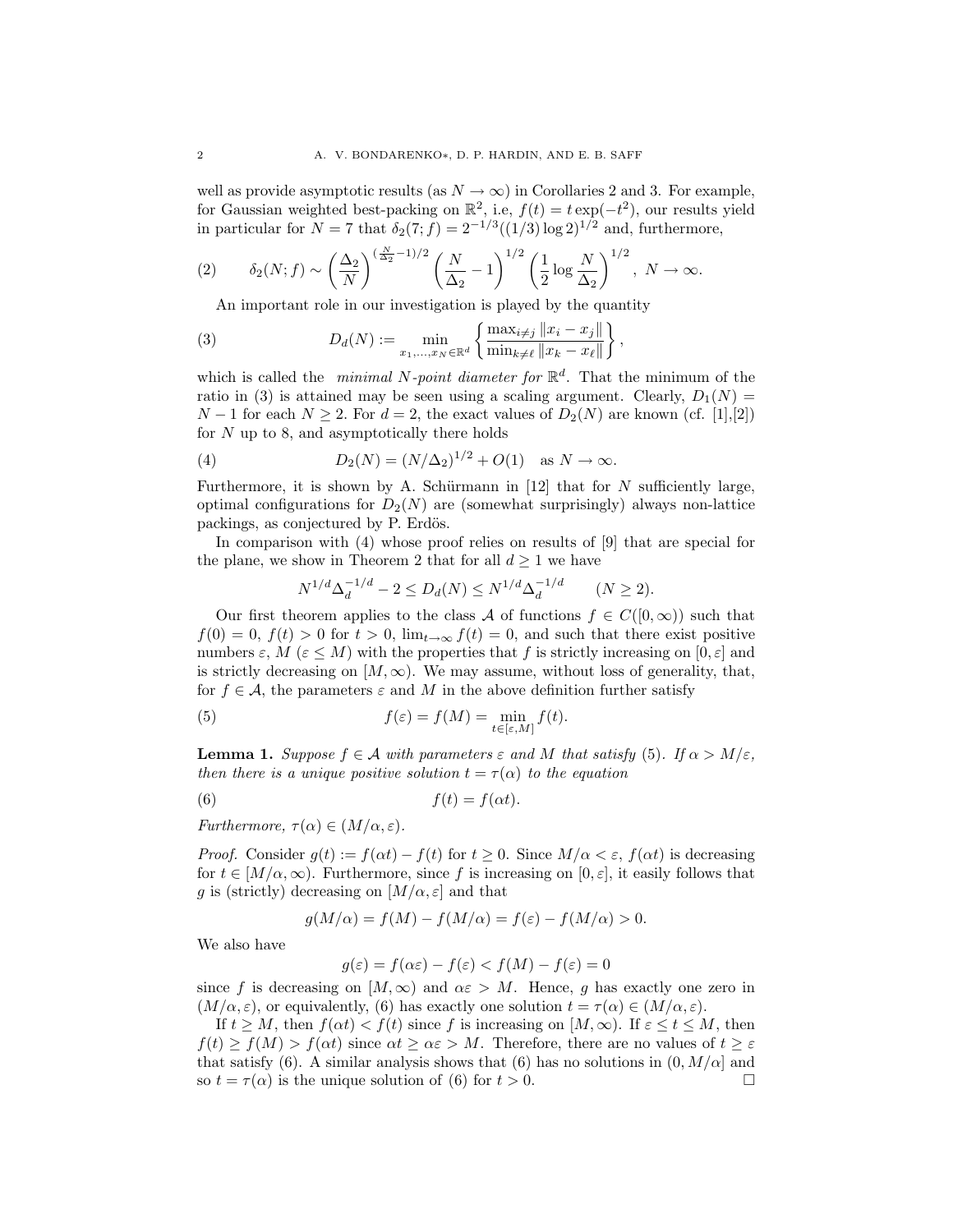well as provide asymptotic results (as  $N \to \infty$ ) in Corollaries 2 and 3. For example, for Gaussian weighted best-packing on  $\mathbb{R}^2$ , i.e,  $f(t) = t \exp(-t^2)$ , our results yield in particular for  $N = 7$  that  $\delta_2(7; f) = 2^{-1/3}((1/3) \log 2)^{1/2}$  and, furthermore,

$$
(2) \qquad \delta_2(N;f) \sim \left(\frac{\Delta_2}{N}\right)^{(\frac{N}{\Delta_2}-1)/2} \left(\frac{N}{\Delta_2}-1\right)^{1/2} \left(\frac{1}{2}\log\frac{N}{\Delta_2}\right)^{1/2}, N \to \infty.
$$

An important role in our investigation is played by the quantity

(3) 
$$
D_d(N) := \min_{x_1, ..., x_N \in \mathbb{R}^d} \left\{ \frac{\max_{i \neq j} ||x_i - x_j||}{\min_{k \neq \ell} ||x_k - x_\ell||} \right\},
$$

which is called the *minimal N-point diameter for*  $\mathbb{R}^d$ . That the minimum of the ratio in (3) is attained may be seen using a scaling argument. Clearly,  $D_1(N) =$  $N-1$  for each  $N \geq 2$ . For  $d=2$ , the exact values of  $D_2(N)$  are known (cf. [1],[2]) for  $N$  up to 8, and asymptotically there holds

(4) 
$$
D_2(N) = (N/\Delta_2)^{1/2} + O(1) \text{ as } N \to \infty.
$$

Furthermore, it is shown by A. Schürmann in  $[12]$  that for N sufficiently large, optimal configurations for  $D_2(N)$  are (somewhat surprisingly) always non-lattice packings, as conjectured by P. Erdös.

In comparison with  $(4)$  whose proof relies on results of  $[9]$  that are special for the plane, we show in Theorem 2 that for all  $d \geq 1$  we have

$$
N^{1/d} \Delta_d^{-1/d} - 2 \le D_d(N) \le N^{1/d} \Delta_d^{-1/d} \qquad (N \ge 2).
$$

Our first theorem applies to the class A of functions  $f \in C([0,\infty))$  such that  $f(0) = 0, f(t) > 0$  for  $t > 0$ ,  $\lim_{t \to \infty} f(t) = 0$ , and such that there exist positive numbers  $\varepsilon$ ,  $M$  ( $\varepsilon$  <  $M$ ) with the properties that f is strictly increasing on  $[0, \varepsilon]$  and is strictly decreasing on  $[M, \infty)$ . We may assume, without loss of generality, that, for  $f \in \mathcal{A}$ , the parameters  $\varepsilon$  and M in the above definition further satisfy

(5) 
$$
f(\varepsilon) = f(M) = \min_{t \in [\varepsilon, M]} f(t).
$$

**Lemma 1.** Suppose  $f \in \mathcal{A}$  with parameters  $\varepsilon$  and M that satisfy (5). If  $\alpha > M/\varepsilon$ , then there is a unique positive solution  $t = \tau(\alpha)$  to the equation

(6) 
$$
f(t) = f(\alpha t).
$$

Furthermore,  $\tau(\alpha) \in (M/\alpha, \varepsilon)$ .

*Proof.* Consider  $g(t) := f(\alpha t) - f(t)$  for  $t \geq 0$ . Since  $M/\alpha < \varepsilon$ ,  $f(\alpha t)$  is decreasing for  $t \in [M/\alpha, \infty)$ . Furthermore, since f is increasing on  $[0, \varepsilon]$ , it easily follows that g is (strictly) decreasing on  $[M/\alpha, \varepsilon]$  and that

$$
g(M/\alpha) = f(M) - f(M/\alpha) = f(\varepsilon) - f(M/\alpha) > 0.
$$

We also have

$$
g(\varepsilon)=f(\alpha\varepsilon)-f(\varepsilon)
$$

since f is decreasing on  $[M, \infty)$  and  $\alpha \varepsilon > M$ . Hence, g has exactly one zero in  $(M/\alpha, \varepsilon)$ , or equivalently, (6) has exactly one solution  $t = \tau(\alpha) \in (M/\alpha, \varepsilon)$ .

If  $t \geq M$ , then  $f(\alpha t) < f(t)$  since f is increasing on  $[M, \infty)$ . If  $\varepsilon \leq t \leq M$ , then  $f(t) \ge f(M) > f(\alpha t)$  since  $\alpha t \ge \alpha \varepsilon > M$ . Therefore, there are no values of  $t \ge \varepsilon$ that satisfy (6). A similar analysis shows that (6) has no solutions in  $(0, M/\alpha]$  and so  $t = \tau(\alpha)$  is the unique solution of (6) for  $t > 0$ .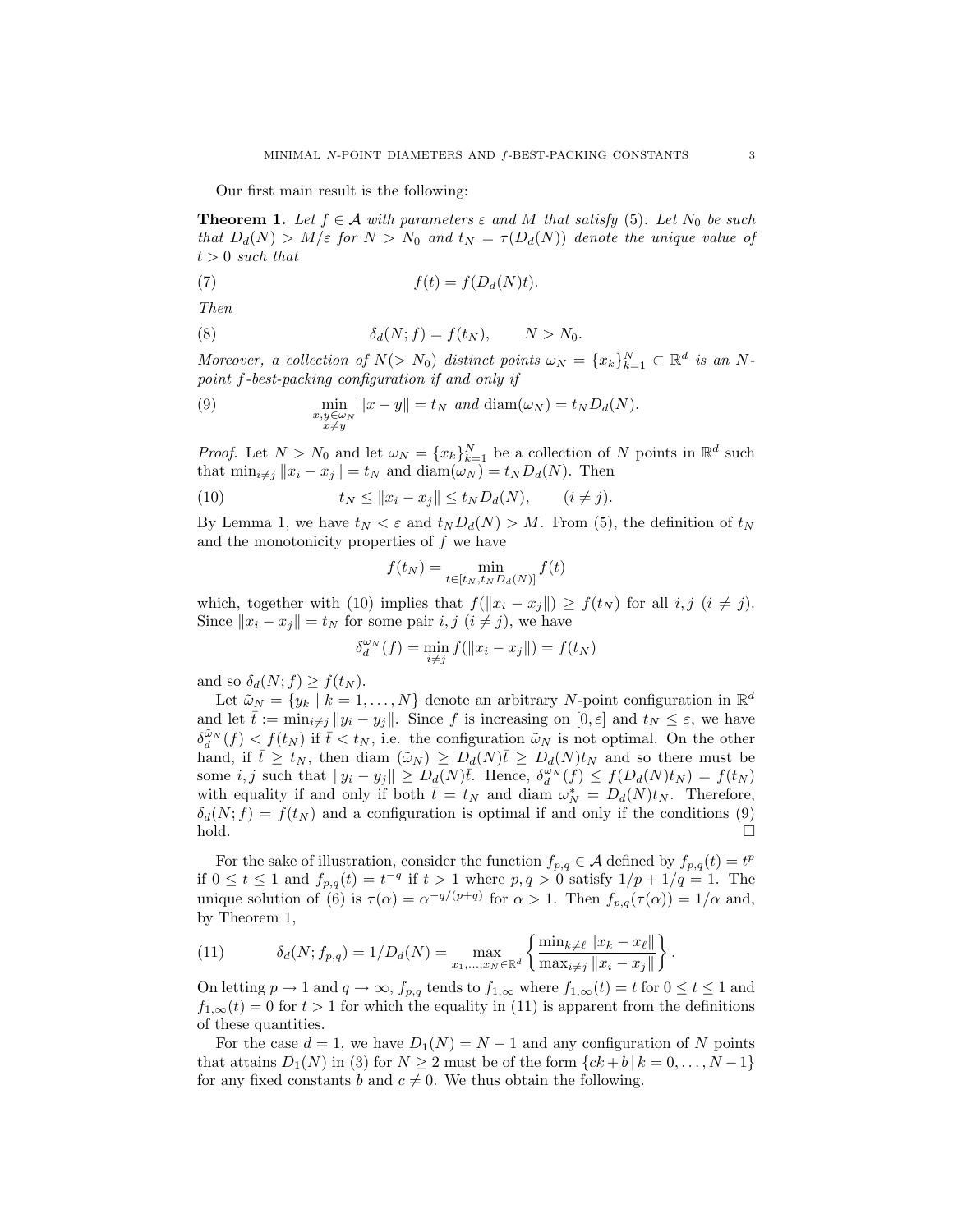Our first main result is the following:

**Theorem 1.** Let  $f \in \mathcal{A}$  with parameters  $\varepsilon$  and M that satisfy (5). Let  $N_0$  be such that  $D_d(N) > M/\varepsilon$  for  $N > N_0$  and  $t_N = \tau(D_d(N))$  denote the unique value of  $t > 0$  such that

(7) 
$$
f(t) = f(D_d(N)t).
$$

Then

(8) 
$$
\delta_d(N;f) = f(t_N), \qquad N > N_0.
$$

Moreover, a collection of  $N(> N_0)$  distinct points  $\omega_N = \{x_k\}_{k=1}^N \subset \mathbb{R}^d$  is an Npoint f-best-packing configuration if and only if

(9) 
$$
\min_{\substack{x,y\in\omega_N\\x\neq y}} \|x-y\| = t_N \text{ and } \text{diam}(\omega_N) = t_N D_d(N).
$$

*Proof.* Let  $N > N_0$  and let  $\omega_N = \{x_k\}_{k=1}^N$  be a collection of N points in  $\mathbb{R}^d$  such that  $\min_{i \neq j} ||x_i - x_j|| = t_N$  and  $\text{diam}(\omega_N) = t_N D_d(N)$ . Then

(10) 
$$
t_N \le ||x_i - x_j|| \le t_N D_d(N), \qquad (i \ne j).
$$

By Lemma 1, we have  $t_N < \varepsilon$  and  $t_N D_d(N) > M$ . From (5), the definition of  $t_N$ and the monotonicity properties of f we have

$$
f(t_N) = \min_{t \in [t_N, t_N D_d(N)]} f(t)
$$

which, together with (10) implies that  $f(\Vert x_i - x_j \Vert) \geq f(t_N)$  for all  $i, j \ (i \neq j)$ . Since  $||x_i - x_j|| = t_N$  for some pair  $i, j \ (i \neq j)$ , we have

$$
\delta_d^{\omega_N}(f) = \min_{i \neq j} f(||x_i - x_j||) = f(t_N)
$$

and so  $\delta_d(N; f) \geq f(t_N)$ .

Let  $\tilde{\omega}_N = \{y_k \mid k = 1, \ldots, N\}$  denote an arbitrary N-point configuration in  $\mathbb{R}^d$ and let  $\bar{t} := \min_{i \neq j} ||y_i - y_j||$ . Since f is increasing on  $[0, \varepsilon]$  and  $t_N \leq \varepsilon$ , we have  $\delta_d^{\tilde{\omega}_N}(f) < f(t_N)$  if  $\bar{t} < t_N$ , i.e. the configuration  $\tilde{\omega}_N$  is not optimal. On the other hand, if  $\bar{t} \geq t_N$ , then diam  $(\tilde{\omega}_N) \geq D_d(N)\bar{t} \geq D_d(N)t_N$  and so there must be some *i*, *j* such that  $||y_i - y_j|| \ge D_d(N)\overline{t}$ . Hence,  $\delta_d^{\omega_N}(f) \le f(D_d(N)t_N) = f(t_N)$ with equality if and only if both  $\bar{t} = t_N$  and diam  $\omega_N^* = D_d(N)t_N$ . Therefore,  $\delta_d(N; f) = f(t_N)$  and a configuration is optimal if and only if the conditions (9) hold.

For the sake of illustration, consider the function  $f_{p,q} \in A$  defined by  $f_{p,q}(t) = t^p$ if  $0 \le t \le 1$  and  $f_{p,q}(t) = t^{-q}$  if  $t > 1$  where  $p, q > 0$  satisfy  $1/p + 1/q = 1$ . The unique solution of (6) is  $\tau(\alpha) = \alpha^{-q/(p+q)}$  for  $\alpha > 1$ . Then  $f_{p,q}(\tau(\alpha)) = 1/\alpha$  and, by Theorem 1,

(11) 
$$
\delta_d(N; f_{p,q}) = 1/D_d(N) = \max_{x_1, ..., x_N \in \mathbb{R}^d} \left\{ \frac{\min_{k \neq \ell} ||x_k - x_{\ell}||}{\max_{i \neq j} ||x_i - x_j||} \right\}.
$$

On letting  $p \to 1$  and  $q \to \infty$ ,  $f_{p,q}$  tends to  $f_{1,\infty}$  where  $f_{1,\infty}(t) = t$  for  $0 \le t \le 1$  and  $f_{1,\infty}(t) = 0$  for  $t > 1$  for which the equality in (11) is apparent from the definitions of these quantities.

For the case  $d = 1$ , we have  $D_1(N) = N - 1$  and any configuration of N points that attains  $D_1(N)$  in (3) for  $N \geq 2$  must be of the form  $\{ck +b | k = 0, \ldots, N-1\}$ for any fixed constants b and  $c \neq 0$ . We thus obtain the following.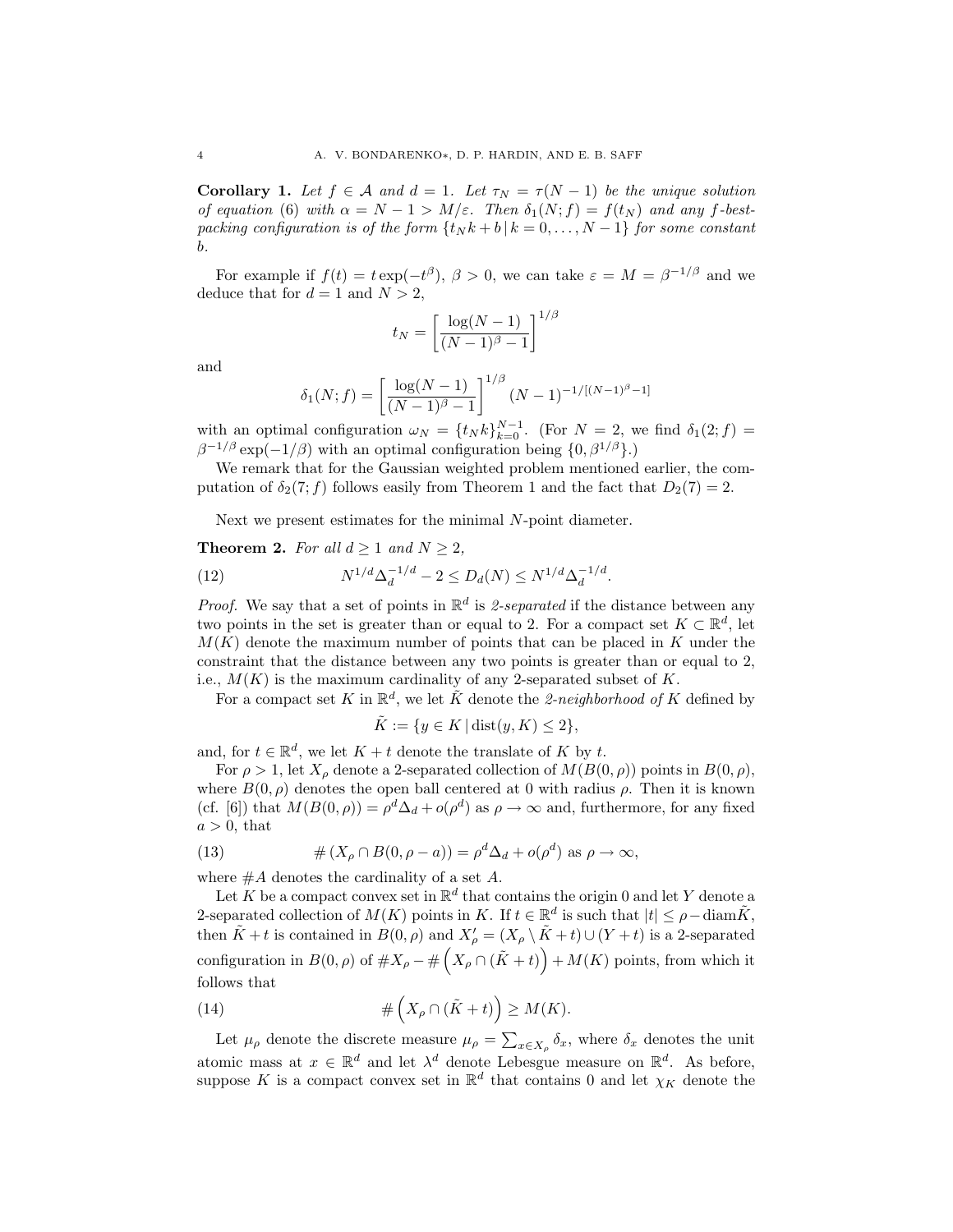Corollary 1. Let  $f \in \mathcal{A}$  and  $d = 1$ . Let  $\tau_N = \tau(N-1)$  be the unique solution of equation (6) with  $\alpha = N - 1 > M/\varepsilon$ . Then  $\delta_1(N; f) = f(t_N)$  and any f-bestpacking configuration is of the form  $\{t_N k + b | k = 0, \ldots, N-1\}$  for some constant b.

For example if  $f(t) = t \exp(-t^{\beta}), \beta > 0$ , we can take  $\varepsilon = M = \beta^{-1/\beta}$  and we deduce that for  $d = 1$  and  $N > 2$ ,

$$
t_N = \left[\frac{\log(N-1)}{(N-1)^{\beta}-1}\right]^{1/\beta}
$$

and

$$
\delta_1(N; f) = \left[\frac{\log(N-1)}{(N-1)^{\beta}-1}\right]^{1/\beta} (N-1)^{-1/[(N-1)^{\beta}-1]}
$$

with an optimal configuration  $\omega_N = \{t_N k\}_{k=0}^{N-1}$ . (For  $N = 2$ , we find  $\delta_1(2; f) =$  $\beta^{-1/\beta}$  exp(-1/ $\beta$ ) with an optimal configuration being  $\{0, \beta^{1/\beta}\}\$ .

We remark that for the Gaussian weighted problem mentioned earlier, the computation of  $\delta_2(7; f)$  follows easily from Theorem 1 and the fact that  $D_2(7) = 2$ .

Next we present estimates for the minimal N-point diameter.

## **Theorem 2.** For all  $d \ge 1$  and  $N \ge 2$ ,

(12) 
$$
N^{1/d} \Delta_d^{-1/d} - 2 \le D_d(N) \le N^{1/d} \Delta_d^{-1/d}.
$$

*Proof.* We say that a set of points in  $\mathbb{R}^d$  is 2-separated if the distance between any two points in the set is greater than or equal to 2. For a compact set  $K \subset \mathbb{R}^d$ , let  $M(K)$  denote the maximum number of points that can be placed in K under the constraint that the distance between any two points is greater than or equal to 2, i.e.,  $M(K)$  is the maximum cardinality of any 2-separated subset of K.

For a compact set K in  $\mathbb{R}^d$ , we let  $\tilde{K}$  denote the 2-neighborhood of K defined by

$$
\tilde{K} := \{ y \in K \mid \text{dist}(y, K) \le 2 \},
$$

and, for  $t \in \mathbb{R}^d$ , we let  $K + t$  denote the translate of K by t.

For  $\rho > 1$ , let  $X_{\rho}$  denote a 2-separated collection of  $M(B(0, \rho))$  points in  $B(0, \rho)$ , where  $B(0, \rho)$  denotes the open ball centered at 0 with radius  $\rho$ . Then it is known (cf. [6]) that  $M(B(0, \rho)) = \rho^d \Delta_d + o(\rho^d)$  as  $\rho \to \infty$  and, furthermore, for any fixed  $a > 0$ , that

(13) 
$$
\# (X_{\rho} \cap B(0, \rho - a)) = \rho^{d} \Delta_d + o(\rho^{d}) \text{ as } \rho \to \infty,
$$

where  $#A$  denotes the cardinality of a set  $A$ .

Let K be a compact convex set in  $\mathbb{R}^d$  that contains the origin 0 and let Y denote a 2-separated collection of  $M(K)$  points in K. If  $t \in \mathbb{R}^d$  is such that  $|t| \leq \rho - \text{diam }\tilde{K}$ , then  $\tilde{K} + t$  is contained in  $B(0, \rho)$  and  $X'_{\rho} = (X_{\rho} \setminus \tilde{K} + t) \cup (Y + t)$  is a 2-separated configuration in  $B(0, \rho)$  of  $\#X_{\rho} - \#(X_{\rho} \cap (\tilde{K} + t)) + M(K)$  points, from which it follows that

(14) 
$$
\#\left(X_{\rho}\cap(\tilde{K}+t)\right)\geq M(K).
$$

Let  $\mu_{\rho}$  denote the discrete measure  $\mu_{\rho} = \sum_{x \in X_{\rho}} \delta_x$ , where  $\delta_x$  denotes the unit atomic mass at  $x \in \mathbb{R}^d$  and let  $\lambda^d$  denote Lebesgue measure on  $\mathbb{R}^d$ . As before, suppose K is a compact convex set in  $\mathbb{R}^d$  that contains 0 and let  $\chi_K$  denote the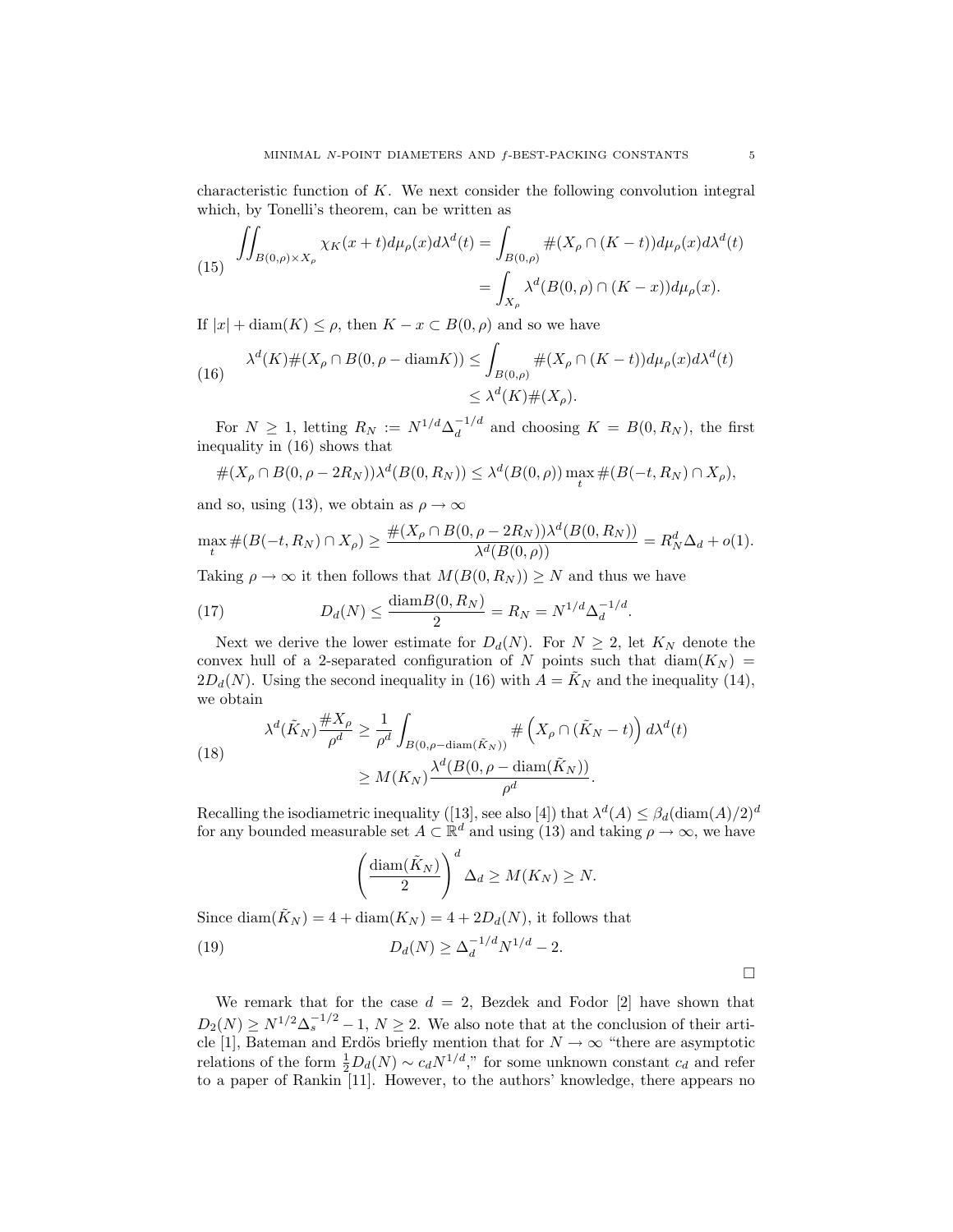characteristic function of  $K$ . We next consider the following convolution integral which, by Tonelli's theorem, can be written as

(15) 
$$
\iint_{B(0,\rho)\times X_{\rho}} \chi_K(x+t) d\mu_{\rho}(x) d\lambda^{d}(t) = \int_{B(0,\rho)} \#(X_{\rho} \cap (K-t)) d\mu_{\rho}(x) d\lambda^{d}(t)
$$

$$
= \int_{X_{\rho}} \lambda^{d}(B(0,\rho) \cap (K-x)) d\mu_{\rho}(x).
$$

If  $|x| + \text{diam}(K) \leq \rho$ , then  $K - x \subset B(0, \rho)$  and so we have

(16) 
$$
\lambda^{d}(K) \#(X_{\rho} \cap B(0, \rho - \text{diam} K)) \leq \int_{B(0,\rho)} \#(X_{\rho} \cap (K - t)) d\mu_{\rho}(x) d\lambda^{d}(t)
$$

$$
\leq \lambda^{d}(K) \#(X_{\rho}).
$$

For  $N \geq 1$ , letting  $R_N := N^{1/d} \Delta_d^{-1/d}$  $\frac{d}{d}$  and choosing  $K = B(0, R_N)$ , the first inequality in (16) shows that

$$
\#(X_{\rho} \cap B(0, \rho - 2R_N))\lambda^d(B(0, R_N)) \leq \lambda^d(B(0, \rho)) \max_t \#(B(-t, R_N) \cap X_{\rho}),
$$

and so, using (13), we obtain as  $\rho \to \infty$ 

$$
\max_{t} \#(B(-t, R_N) \cap X_{\rho}) \ge \frac{\#(X_{\rho} \cap B(0, \rho - 2R_N))\lambda^d(B(0, R_N))}{\lambda^d(B(0, \rho))} = R_N^d \Delta_d + o(1).
$$

Taking  $\rho \to \infty$  it then follows that  $M(B(0,R_N)) \geq N$  and thus we have

(17) 
$$
D_d(N) \le \frac{\text{diam} B(0, R_N)}{2} = R_N = N^{1/d} \Delta_d^{-1/d}.
$$

Next we derive the lower estimate for  $D_d(N)$ . For  $N \geq 2$ , let  $K_N$  denote the convex hull of a 2-separated configuration of N points such that  $\text{diam}(K_N)$  =  $2D_d(N)$ . Using the second inequality in (16) with  $A = K_N$  and the inequality (14), we obtain

(18)  

$$
\lambda^{d}(\tilde{K}_{N}) \frac{\#X_{\rho}}{\rho^{d}} \geq \frac{1}{\rho^{d}} \int_{B(0,\rho-\text{diam}(\tilde{K}_{N}))} \# \left(X_{\rho} \cap (\tilde{K}_{N}-t)\right) d\lambda^{d}(t)
$$

$$
\geq M(K_{N}) \frac{\lambda^{d}(B(0,\rho-\text{diam}(\tilde{K}_{N}))}{\rho^{d}}.
$$

Recalling the isodiametric inequality ([13], see also [4]) that  $\lambda^{d}(A) \leq \beta_d(\text{diam}(A)/2)^d$ for any bounded measurable set  $A \subset \mathbb{R}^d$  and using (13) and taking  $\rho \to \infty$ , we have

$$
\left(\frac{\text{diam}(\tilde{K}_N)}{2}\right)^d \Delta_d \ge M(K_N) \ge N.
$$

Since diam( $\tilde{K}_N$ ) = 4 + diam( $K_N$ ) = 4 + 2 $D_d(N)$ , it follows that

(19) 
$$
D_d(N) \ge \Delta_d^{-1/d} N^{1/d} - 2.
$$

We remark that for the case  $d = 2$ , Bezdek and Fodor [2] have shown that  $D_2(N) \ge N^{1/2} \Delta_s^{-1/2} - 1, N \ge 2$ . We also note that at the conclusion of their article [1], Bateman and Erdös briefly mention that for  $N \to \infty$  "there are asymptotic relations of the form  $\frac{1}{2}D_d(N) \sim c_d N^{1/d}$ ," for some unknown constant  $c_d$  and refer to a paper of Rankin [11]. However, to the authors' knowledge, there appears no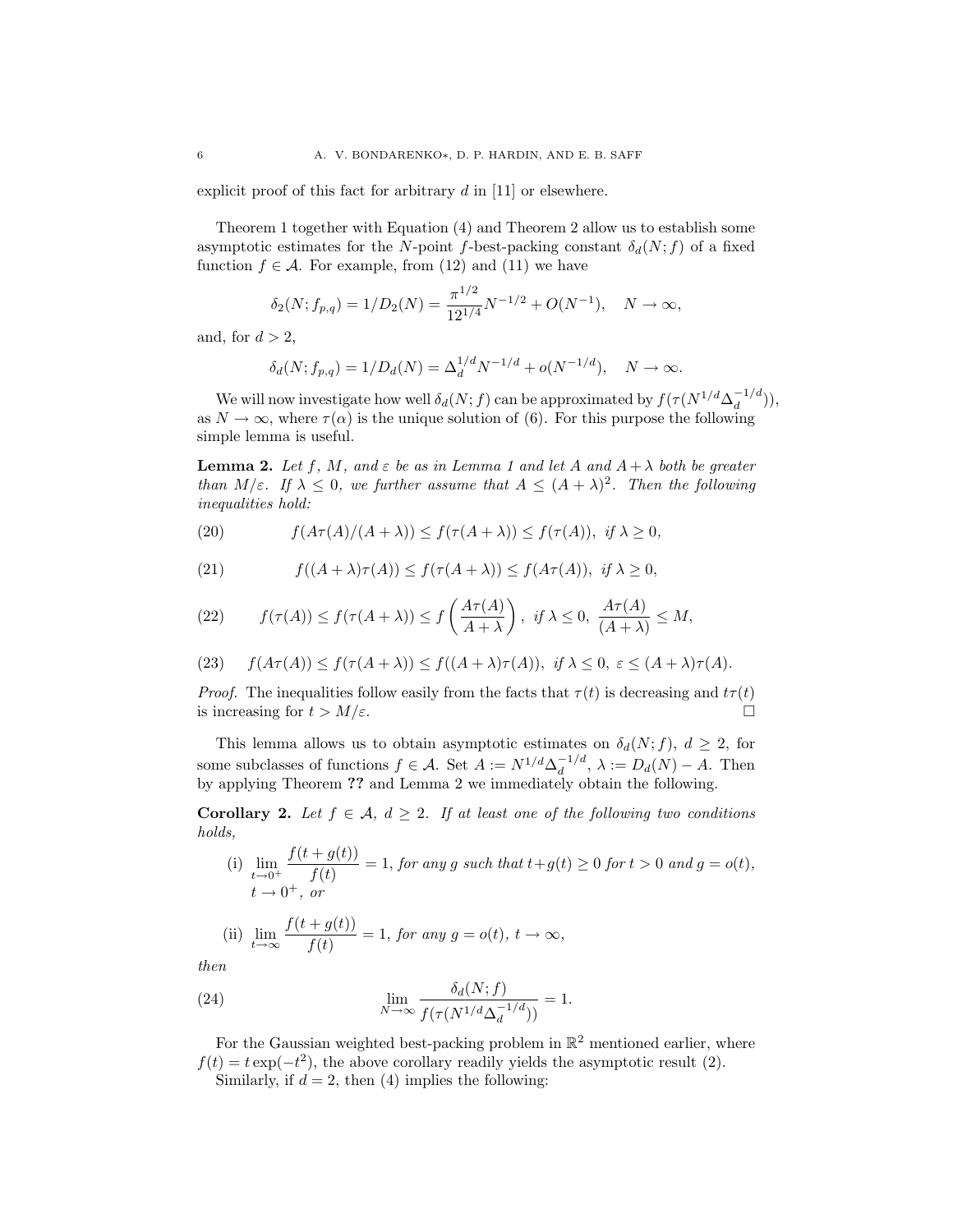explicit proof of this fact for arbitrary  $d$  in [11] or elsewhere.

Theorem 1 together with Equation (4) and Theorem 2 allow us to establish some asymptotic estimates for the N-point f-best-packing constant  $\delta_d(N; f)$  of a fixed function  $f \in \mathcal{A}$ . For example, from (12) and (11) we have

$$
\delta_2(N; f_{p,q}) = 1/D_2(N) = \frac{\pi^{1/2}}{12^{1/4}}N^{-1/2} + O(N^{-1}), \quad N \to \infty,
$$

and, for  $d > 2$ ,

$$
\delta_d(N; f_{p,q}) = 1/D_d(N) = \Delta_d^{1/d} N^{-1/d} + o(N^{-1/d}), \quad N \to \infty.
$$

We will now investigate how well  $\delta_d(N; f)$  can be approximated by  $f(\tau(N^{1/d} \Delta_d^{-1/d}))$  $\binom{-1}{d}$ ), as  $N \to \infty$ , where  $\tau(\alpha)$  is the unique solution of (6). For this purpose the following simple lemma is useful.

**Lemma 2.** Let f, M, and  $\varepsilon$  be as in Lemma 1 and let A and  $A + \lambda$  both be greater than  $M/\varepsilon$ . If  $\lambda \leq 0$ , we further assume that  $A \leq (A + \lambda)^2$ . Then the following inequalities hold:

(20) 
$$
f(A\tau(A)/(A+\lambda)) \le f(\tau(A+\lambda)) \le f(\tau(A)), \text{ if } \lambda \ge 0,
$$

(21) 
$$
f((A+\lambda)\tau(A)) \le f(\tau(A+\lambda)) \le f(A\tau(A)), \text{ if } \lambda \ge 0,
$$

(22) 
$$
f(\tau(A)) \le f(\tau(A+\lambda)) \le f\left(\frac{A\tau(A)}{A+\lambda}\right), \text{ if } \lambda \le 0, \frac{A\tau(A)}{(A+\lambda)} \le M,
$$

(23) 
$$
f(A\tau(A)) \leq f(\tau(A+\lambda)) \leq f((A+\lambda)\tau(A)), \text{ if } \lambda \leq 0, \varepsilon \leq (A+\lambda)\tau(A).
$$

*Proof.* The inequalities follow easily from the facts that  $\tau(t)$  is decreasing and  $t\tau(t)$ is increasing for  $t > M/\varepsilon$ .

This lemma allows us to obtain asymptotic estimates on  $\delta_d(N; f)$ ,  $d \geq 2$ , for some subclasses of functions  $f \in \mathcal{A}$ . Set  $A := N^{1/d} \Delta_d^{-1/d}$  $d_d^{-1/a}, \lambda := D_d(N) - A.$  Then by applying Theorem ?? and Lemma 2 we immediately obtain the following.

Corollary 2. Let  $f \in \mathcal{A}$ ,  $d \geq 2$ . If at least one of the following two conditions holds,  $f(t) = f(t)$ 

(i) 
$$
\lim_{t \to 0^+} \frac{f(t+g(t))}{f(t)} = 1, \text{ for any } g \text{ such that } t+g(t) \ge 0 \text{ for } t > 0 \text{ and } g = o(t),
$$
  

$$
t \to 0^+, \text{ or}
$$

(ii) 
$$
\lim_{t \to \infty} \frac{f(t + g(t))}{f(t)} = 1, \text{ for any } g = o(t), t \to \infty,
$$

then

(24) 
$$
\lim_{N \to \infty} \frac{\delta_d(N;f)}{f(\tau(N^{1/d} \Delta_d^{-1/d}))} = 1.
$$

For the Gaussian weighted best-packing problem in  $\mathbb{R}^2$  mentioned earlier, where  $f(t) = t \exp(-t^2)$ , the above corollary readily yields the asymptotic result (2).

Similarly, if  $d = 2$ , then (4) implies the following: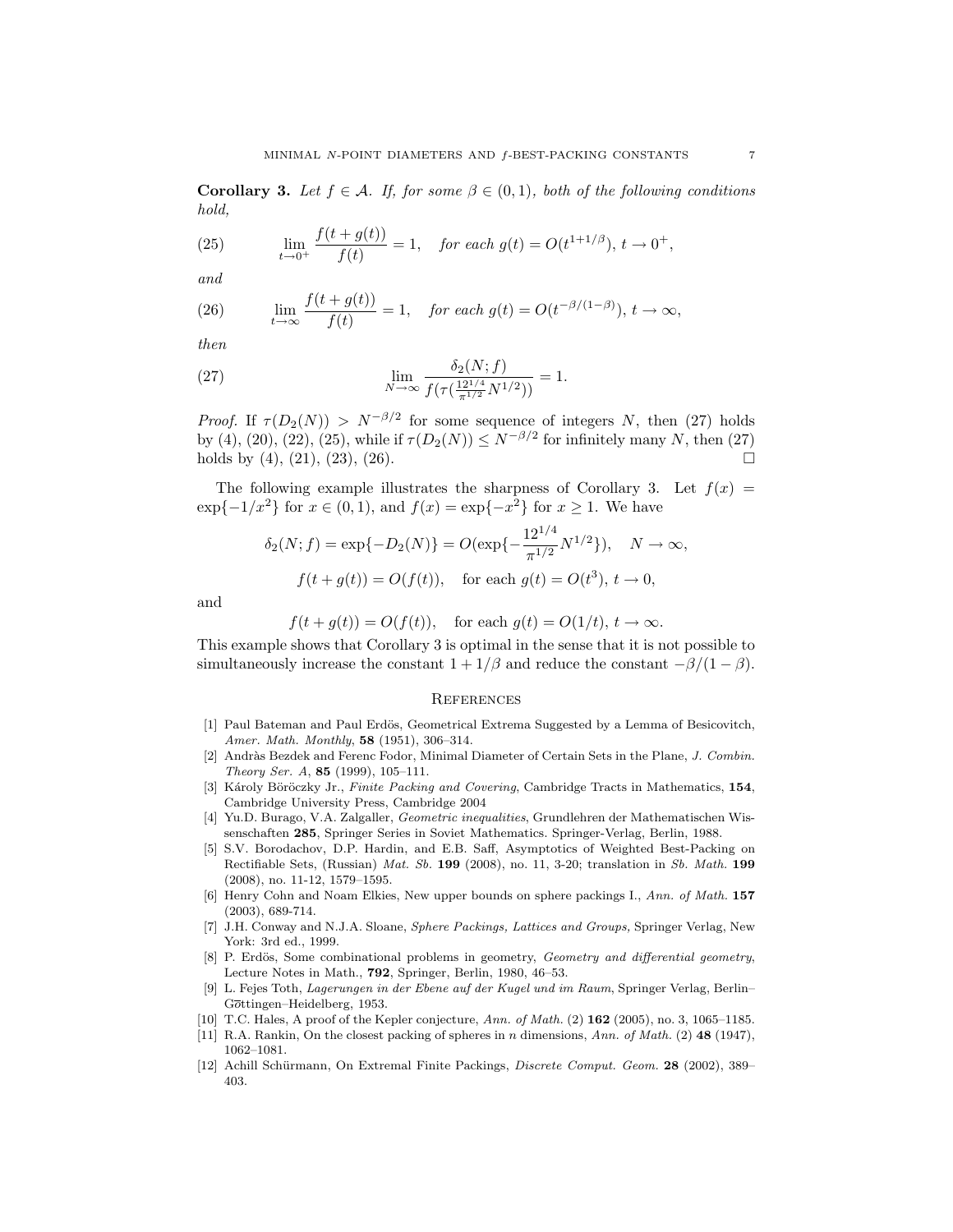**Corollary 3.** Let  $f \in \mathcal{A}$ . If, for some  $\beta \in (0,1)$ , both of the following conditions hold,

(25) 
$$
\lim_{t \to 0^+} \frac{f(t + g(t))}{f(t)} = 1, \quad \text{for each } g(t) = O(t^{1 + 1/\beta}), t \to 0^+,
$$

and

(26) 
$$
\lim_{t \to \infty} \frac{f(t + g(t))}{f(t)} = 1, \quad \text{for each } g(t) = O(t^{-\beta/(1-\beta)}), t \to \infty,
$$

then

(27) 
$$
\lim_{N \to \infty} \frac{\delta_2(N;f)}{f(\tau(\frac{12^{1/4}}{\pi^{1/2}}N^{1/2}))} = 1.
$$

*Proof.* If  $\tau(D_2(N)) > N^{-\beta/2}$  for some sequence of integers N, then (27) holds by (4), (20), (22), (25), while if  $\tau(D_2(N)) \leq N^{-\beta/2}$  for infinitely many N, then (27) holds by  $(4)$ ,  $(21)$ ,  $(23)$ ,  $(26)$ .

The following example illustrates the sharpness of Corollary 3. Let  $f(x) =$  $\exp\{-1/x^2\}$  for  $x \in (0,1)$ , and  $f(x) = \exp\{-x^2\}$  for  $x \ge 1$ . We have

$$
\delta_2(N; f) = \exp\{-D_2(N)\} = O(\exp\{-\frac{12^{1/4}}{\pi^{1/2}}N^{1/2}\}), \quad N \to \infty,
$$
  

$$
f(t + g(t)) = O(f(t)), \quad \text{for each } g(t) = O(t^3), t \to 0,
$$

and

$$
f(t+g(t)) = O(f(t)),
$$
 for each  $g(t) = O(1/t), t \to \infty.$ 

This example shows that Corollary 3 is optimal in the sense that it is not possible to simultaneously increase the constant  $1 + 1/\beta$  and reduce the constant  $-\beta/(1 - \beta)$ .

## **REFERENCES**

- [1] Paul Bateman and Paul Erdös, Geometrical Extrema Suggested by a Lemma of Besicovitch, Amer. Math. Monthly, 58 (1951), 306–314.
- [2] Andràs Bezdek and Ferenc Fodor, Minimal Diameter of Certain Sets in the Plane, J. Combin. Theory Ser. A, 85 (1999), 105–111.
- [3] Károly Böröczky Jr., Finite Packing and Covering, Cambridge Tracts in Mathematics, 154, Cambridge University Press, Cambridge 2004
- [4] Yu.D. Burago, V.A. Zalgaller, Geometric inequalities, Grundlehren der Mathematischen Wissenschaften 285, Springer Series in Soviet Mathematics. Springer-Verlag, Berlin, 1988.
- [5] S.V. Borodachov, D.P. Hardin, and E.B. Saff, Asymptotics of Weighted Best-Packing on Rectifiable Sets, (Russian) Mat. Sb. 199 (2008), no. 11, 3-20; translation in Sb. Math. 199 (2008), no. 11-12, 1579–1595.
- [6] Henry Cohn and Noam Elkies, New upper bounds on sphere packings I., Ann. of Math. 157 (2003), 689-714.
- [7] J.H. Conway and N.J.A. Sloane, Sphere Packings, Lattices and Groups, Springer Verlag, New York: 3rd ed., 1999.
- [8] P. Erdös, Some combinational problems in geometry, Geometry and differential geometry, Lecture Notes in Math., 792, Springer, Berlin, 1980, 46–53.
- [9] L. Fejes Toth, Lagerungen in der Ebene auf der Kugel und im Raum, Springer Verlag, Berlin– Gottingen–Heidelberg, 1953.
- [10] T.C. Hales, A proof of the Kepler conjecture, Ann. of Math. (2) **162** (2005), no. 3, 1065–1185.
- [11] R.A. Rankin, On the closest packing of spheres in n dimensions, Ann. of Math. (2) 48 (1947), 1062–1081.
- [12] Achill Schürmann, On Extremal Finite Packings, Discrete Comput. Geom. 28 (2002), 389– 403.